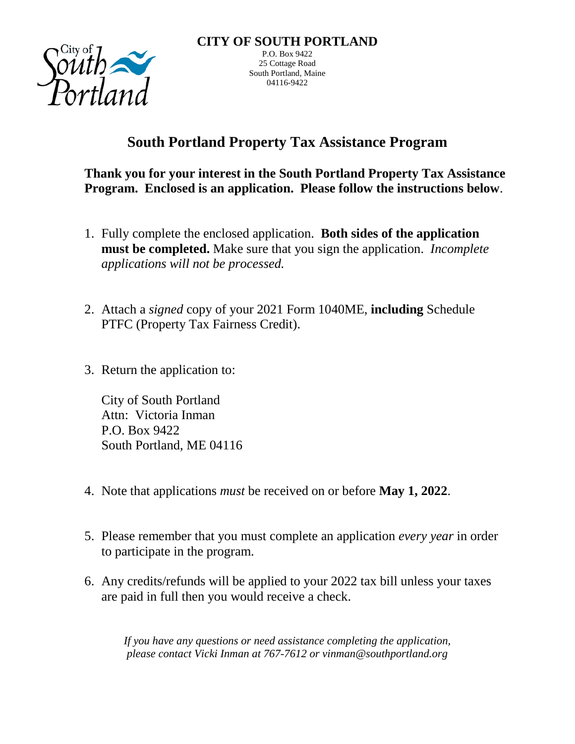

## **South Portland Property Tax Assistance Program**

**Thank you for your interest in the South Portland Property Tax Assistance Program. Enclosed is an application. Please follow the instructions below**.

- 1. Fully complete the enclosed application. **Both sides of the application must be completed.** Make sure that you sign the application. *Incomplete applications will not be processed.*
- 2. Attach a *signed* copy of your 2021 Form 1040ME, **including** Schedule PTFC (Property Tax Fairness Credit).
- 3. Return the application to:

City of South Portland Attn: Victoria Inman P.O. Box 9422 South Portland, ME 04116

- 4. Note that applications *must* be received on or before **May 1, 2022**.
- 5. Please remember that you must complete an application *every year* in order to participate in the program.
- 6. Any credits/refunds will be applied to your 2022 tax bill unless your taxes are paid in full then you would receive a check.

*If you have any questions or need assistance completing the application, please contact Vicki Inman at 767-7612 or vinman@southportland.org*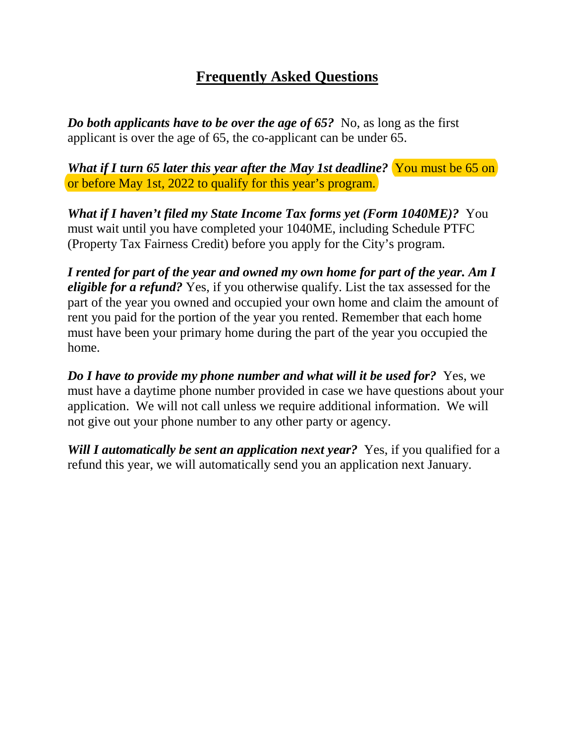## **Frequently Asked Questions**

*Do both applicants have to be over the age of 65?* No, as long as the first applicant is over the age of 65, the co-applicant can be under 65.

*What if I turn 65 later this year after the May 1st deadline?* You must be 65 on or before May 1st, 2022 to qualify for this year's program.

*What if I haven't filed my State Income Tax forms yet (Form 1040ME)?* You must wait until you have completed your 1040ME, including Schedule PTFC (Property Tax Fairness Credit) before you apply for the City's program.

*I rented for part of the year and owned my own home for part of the year. Am I eligible for a refund?* Yes, if you otherwise qualify. List the tax assessed for the part of the year you owned and occupied your own home and claim the amount of rent you paid for the portion of the year you rented. Remember that each home must have been your primary home during the part of the year you occupied the home.

*Do I have to provide my phone number and what will it be used for?* Yes, we must have a daytime phone number provided in case we have questions about your application. We will not call unless we require additional information. We will not give out your phone number to any other party or agency.

*Will I automatically be sent an application next year?* Yes, if you qualified for a refund this year, we will automatically send you an application next January.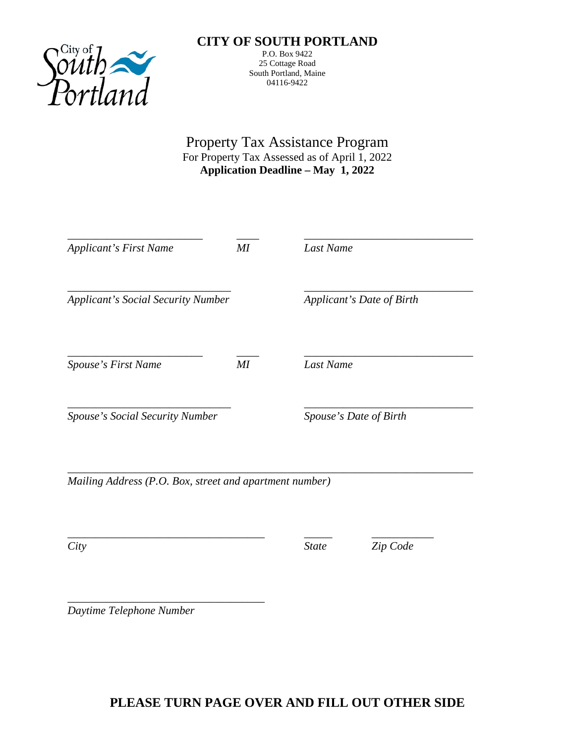

## **CITY OF SOUTH PORTLAND**

P.O. Box 9422 25 Cottage Road South Portland, Maine 04116-9422

Property Tax Assistance Program For Property Tax Assessed as of April 1, 2022 **Application Deadline – May 1, 2022**

| <b>Applicant's First Name</b>                           | МI | Last Name                 |  |
|---------------------------------------------------------|----|---------------------------|--|
| <b>Applicant's Social Security Number</b>               |    | Applicant's Date of Birth |  |
| Spouse's First Name                                     | MI | Last Name                 |  |
| <b>Spouse's Social Security Number</b>                  |    | Spouse's Date of Birth    |  |
| Mailing Address (P.O. Box, street and apartment number) |    |                           |  |

\_\_\_\_\_\_\_\_\_\_\_\_\_\_\_\_\_\_\_\_\_\_\_\_\_\_\_\_\_\_\_\_\_\_\_ \_\_\_\_\_ \_\_\_\_\_\_\_\_\_\_\_

*City State Zip Code*

\_\_\_\_\_\_\_\_\_\_\_\_\_\_\_\_\_\_\_\_\_\_\_\_\_\_\_\_\_\_\_\_\_\_\_ *Daytime Telephone Number*

## **PLEASE TURN PAGE OVER AND FILL OUT OTHER SIDE**